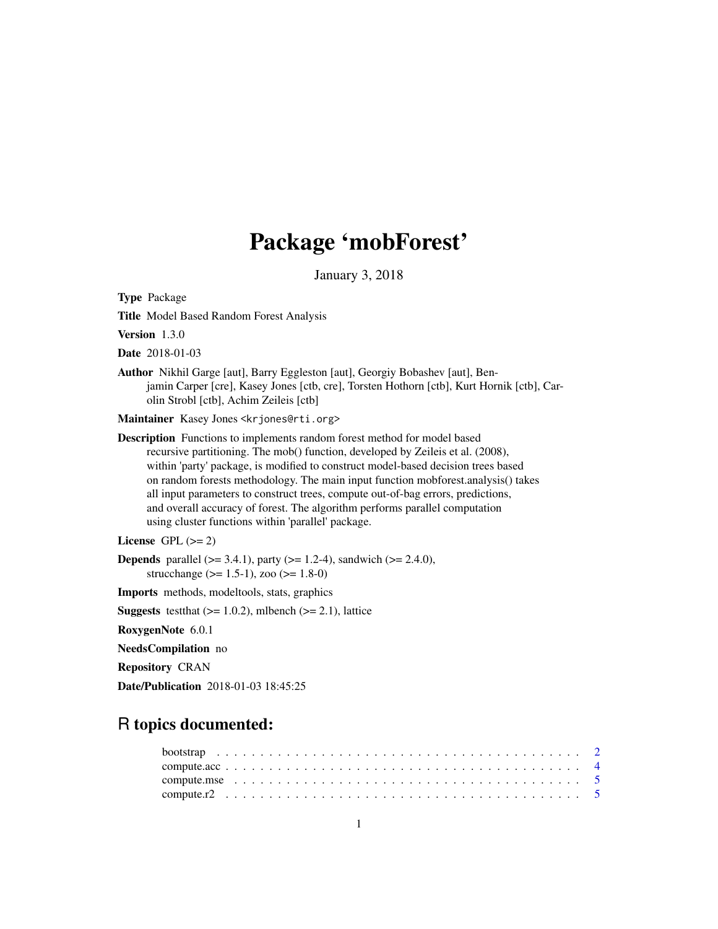# Package 'mobForest'

January 3, 2018

<span id="page-0-0"></span>Type Package

Title Model Based Random Forest Analysis

Version 1.3.0

Date 2018-01-03

Author Nikhil Garge [aut], Barry Eggleston [aut], Georgiy Bobashev [aut], Benjamin Carper [cre], Kasey Jones [ctb, cre], Torsten Hothorn [ctb], Kurt Hornik [ctb], Carolin Strobl [ctb], Achim Zeileis [ctb]

Maintainer Kasey Jones <krjones@rti.org>

Description Functions to implements random forest method for model based recursive partitioning. The mob() function, developed by Zeileis et al. (2008), within 'party' package, is modified to construct model-based decision trees based on random forests methodology. The main input function mobforest.analysis() takes all input parameters to construct trees, compute out-of-bag errors, predictions, and overall accuracy of forest. The algorithm performs parallel computation using cluster functions within 'parallel' package.

License GPL  $(>= 2)$ 

**Depends** parallel ( $>= 3.4.1$ ), party ( $>= 1.2-4$ ), sandwich ( $>= 2.4.0$ ), strucchange ( $> = 1.5-1$ ), zoo ( $>= 1.8-0$ )

Imports methods, modeltools, stats, graphics

**Suggests** test that  $(>= 1.0.2)$ , mlbench  $(>= 2.1)$ , lattice

RoxygenNote 6.0.1

NeedsCompilation no

Repository CRAN

Date/Publication 2018-01-03 18:45:25

# R topics documented: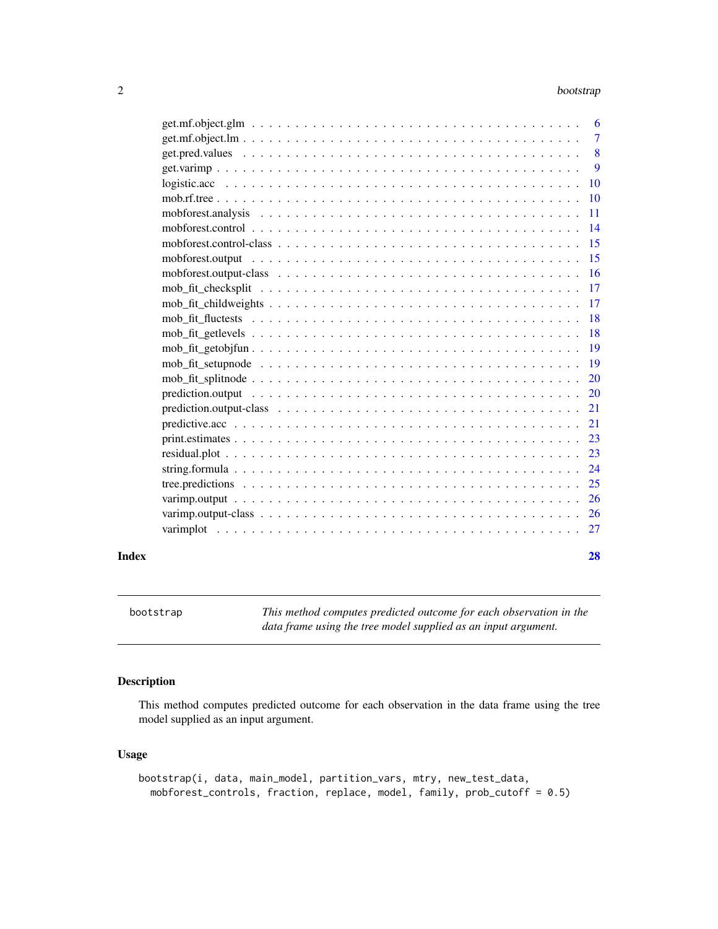<span id="page-1-0"></span>

| 6              |
|----------------|
| $\overline{7}$ |
| 8              |
| 9              |
| 10             |
| 10             |
| 11             |
| 14             |
| 15             |
| 15             |
| <b>16</b>      |
| 17             |
| 17             |
| 18             |
| 18             |
| 19             |
| 19             |
| 20             |
| 20             |
| 21             |
| 21             |
| 23             |
| 23             |
| 24             |
| 25             |
| 26             |
| <sup>26</sup>  |
|                |

#### **Index** [28](#page-27-0) and 2012, the contract of the contract of the contract of the contract of the contract of the contract of the contract of the contract of the contract of the contract of the contract of the contract of the contr

<span id="page-1-1"></span>bootstrap *This method computes predicted outcome for each observation in the data frame using the tree model supplied as an input argument.*

## Description

This method computes predicted outcome for each observation in the data frame using the tree model supplied as an input argument.

# Usage

```
bootstrap(i, data, main_model, partition_vars, mtry, new_test_data,
 mobforest_controls, fraction, replace, model, family, prob_cutoff = 0.5)
```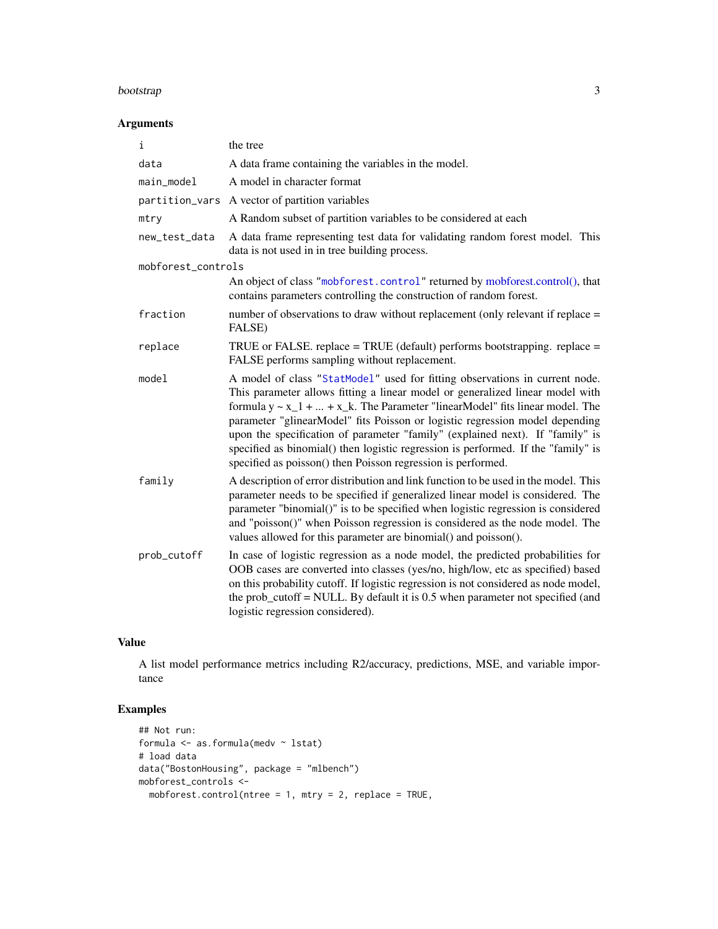#### <span id="page-2-0"></span>bootstrap 3 and 3 and 3 and 3 and 3 and 3 and 3 and 3 and 3 and 3 and 3 and 3 and 3 and 3 and 3 and 3 and 3 and 3 and 3 and 3 and 3 and 3 and 3 and 3 and 3 and 3 and 3 and 3 and 3 and 3 and 3 and 3 and 3 and 3 and 3 and 3

## Arguments

| i                  | the tree                                                                                                                                                                                                                                                                                                                                                                                                                                                                                                                                                                 |
|--------------------|--------------------------------------------------------------------------------------------------------------------------------------------------------------------------------------------------------------------------------------------------------------------------------------------------------------------------------------------------------------------------------------------------------------------------------------------------------------------------------------------------------------------------------------------------------------------------|
| data               | A data frame containing the variables in the model.                                                                                                                                                                                                                                                                                                                                                                                                                                                                                                                      |
| main_model         | A model in character format                                                                                                                                                                                                                                                                                                                                                                                                                                                                                                                                              |
| partition_vars     | A vector of partition variables                                                                                                                                                                                                                                                                                                                                                                                                                                                                                                                                          |
| mtry               | A Random subset of partition variables to be considered at each                                                                                                                                                                                                                                                                                                                                                                                                                                                                                                          |
| new_test_data      | A data frame representing test data for validating random forest model. This<br>data is not used in in tree building process.                                                                                                                                                                                                                                                                                                                                                                                                                                            |
| mobforest_controls |                                                                                                                                                                                                                                                                                                                                                                                                                                                                                                                                                                          |
|                    | An object of class "mobforest.control" returned by mobforest.control(), that<br>contains parameters controlling the construction of random forest.                                                                                                                                                                                                                                                                                                                                                                                                                       |
| fraction           | number of observations to draw without replacement (only relevant if replace =<br>FALSE)                                                                                                                                                                                                                                                                                                                                                                                                                                                                                 |
| replace            | TRUE or FALSE. replace = TRUE (default) performs bootstrapping. replace =<br>FALSE performs sampling without replacement.                                                                                                                                                                                                                                                                                                                                                                                                                                                |
| model              | A model of class "StatModel" used for fitting observations in current node.<br>This parameter allows fitting a linear model or generalized linear model with<br>formula $y \sim x_1 +  + x_k$ . The Parameter "linearModel" fits linear model. The<br>parameter "glinearModel" fits Poisson or logistic regression model depending<br>upon the specification of parameter "family" (explained next). If "family" is<br>specified as binomial() then logistic regression is performed. If the "family" is<br>specified as poisson() then Poisson regression is performed. |
| family             | A description of error distribution and link function to be used in the model. This<br>parameter needs to be specified if generalized linear model is considered. The<br>parameter "binomial()" is to be specified when logistic regression is considered<br>and "poisson()" when Poisson regression is considered as the node model. The<br>values allowed for this parameter are binomial() and poisson().                                                                                                                                                             |
| prob_cutoff        | In case of logistic regression as a node model, the predicted probabilities for<br>OOB cases are converted into classes (yes/no, high/low, etc as specified) based<br>on this probability cutoff. If logistic regression is not considered as node model,<br>the prob_cutoff = NULL. By default it is $0.5$ when parameter not specified (and<br>logistic regression considered).                                                                                                                                                                                        |

## Value

A list model performance metrics including R2/accuracy, predictions, MSE, and variable importance

## Examples

```
## Not run:
formula <- as.formula(medv ~ lstat)
# load data
data("BostonHousing", package = "mlbench")
mobforest_controls <-
 mobforest.control(ntree = 1, mtry = 2, replace = TRUE,
```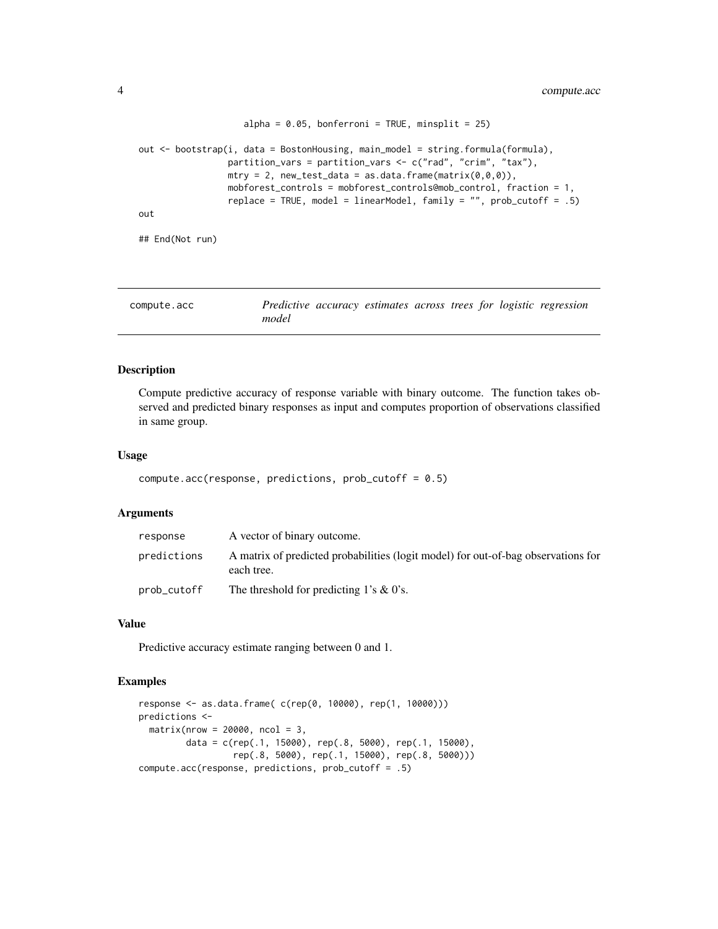```
alpha = 0.05, bonferroni = TRUE, minsplit = 25)
out <- bootstrap(i, data = BostonHousing, main_model = string.formula(formula),
                 partition_vars = partition_vars <- c("rad", "crim", "tax"),
                 mtry = 2, new_test_data = as.data.frame(matrix(0,0,0)),
                 mobforest_controls = mobforest_controls@mob_control, fraction = 1,
                 replace = TRUE, model = linearModel, family = "", prob_cutoff = .5)
out
## End(Not run)
```

| compute.acc | Predictive accuracy estimates across trees for logistic regression |  |  |  |  |
|-------------|--------------------------------------------------------------------|--|--|--|--|
|             | model                                                              |  |  |  |  |

#### Description

Compute predictive accuracy of response variable with binary outcome. The function takes observed and predicted binary responses as input and computes proportion of observations classified in same group.

#### Usage

```
compute.acc(response, predictions, prob_cutoff = 0.5)
```
### **Arguments**

| response    | A vector of binary outcome.                                                                     |
|-------------|-------------------------------------------------------------------------------------------------|
| predictions | A matrix of predicted probabilities (logit model) for out-of-bag observations for<br>each tree. |
| prob_cutoff | The threshold for predicting 1's $\&$ 0's.                                                      |

#### Value

Predictive accuracy estimate ranging between 0 and 1.

## Examples

```
response <- as.data.frame( c(rep(0, 10000), rep(1, 10000)))
predictions <-
  matrix(nrow = 20000, ncol = 3,data = c(rep(.1, 15000), rep(.8, 5000), rep(.1, 15000),
                  rep(.8, 5000), rep(.1, 15000), rep(.8, 5000)))
compute.acc(response, predictions, prob_cutoff = .5)
```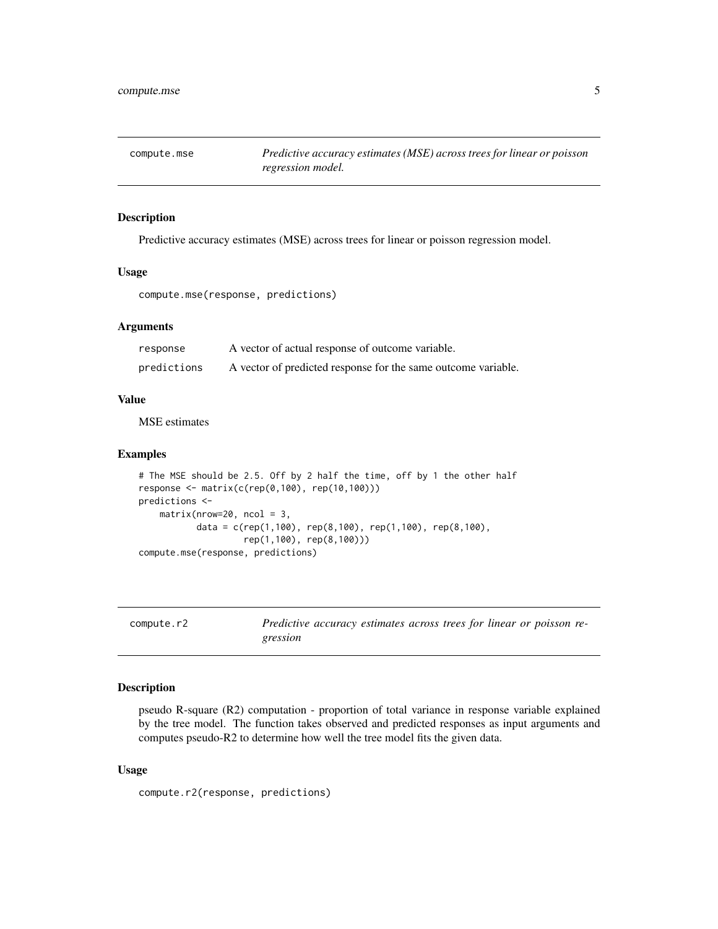<span id="page-4-0"></span>

#### Description

Predictive accuracy estimates (MSE) across trees for linear or poisson regression model.

#### Usage

```
compute.mse(response, predictions)
```
## Arguments

| response    | A vector of actual response of outcome variable.              |
|-------------|---------------------------------------------------------------|
| predictions | A vector of predicted response for the same outcome variable. |

## Value

MSE estimates

## Examples

```
# The MSE should be 2.5. Off by 2 half the time, off by 1 the other half
response <- matrix(c(rep(0,100), rep(10,100)))
predictions <-
    matrix(nrow=20, ncol = 3,data = c(rep(1,100), rep(8,100), rep(1,100), rep(8,100),
                    rep(1,100), rep(8,100)))
compute.mse(response, predictions)
```

| compute.r2 | Predictive accuracy estimates across trees for linear or poisson re- |  |  |  |
|------------|----------------------------------------------------------------------|--|--|--|
|            | gression                                                             |  |  |  |

## Description

pseudo R-square (R2) computation - proportion of total variance in response variable explained by the tree model. The function takes observed and predicted responses as input arguments and computes pseudo-R2 to determine how well the tree model fits the given data.

#### Usage

compute.r2(response, predictions)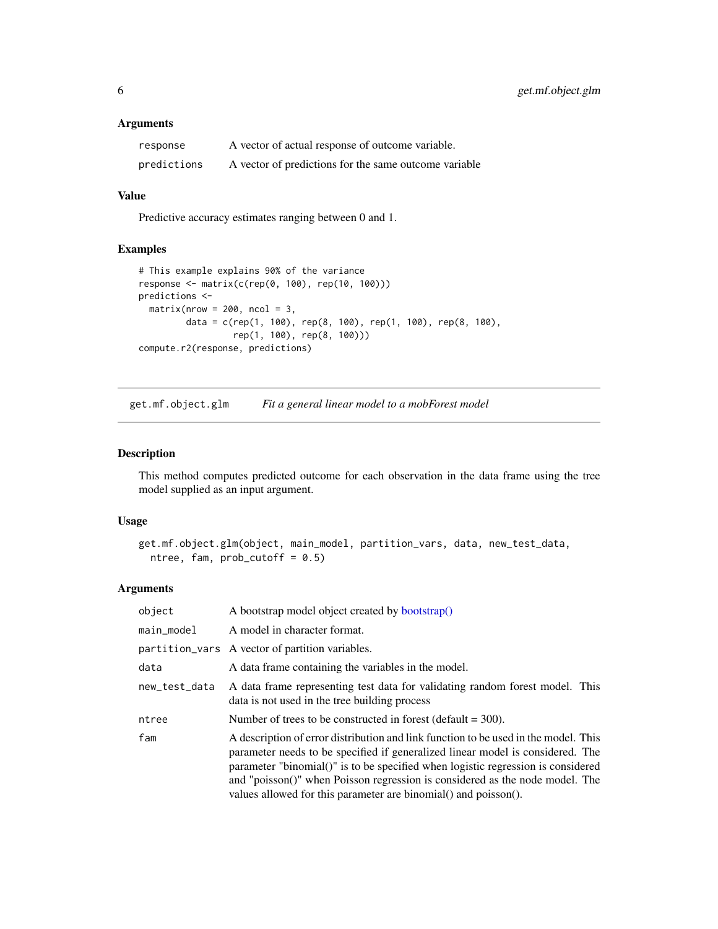#### <span id="page-5-0"></span>Arguments

| response    | A vector of actual response of outcome variable.      |
|-------------|-------------------------------------------------------|
| predictions | A vector of predictions for the same outcome variable |

## Value

Predictive accuracy estimates ranging between 0 and 1.

## Examples

```
# This example explains 90% of the variance
response <- matrix(c(rep(0, 100), rep(10, 100)))
predictions <-
  matrix(nrow = 200, ncol = 3,data = c(rep(1, 100), rep(8, 100), rep(1, 100), rep(8, 100),
                 rep(1, 100), rep(8, 100)))
compute.r2(response, predictions)
```
get.mf.object.glm *Fit a general linear model to a mobForest model*

## Description

This method computes predicted outcome for each observation in the data frame using the tree model supplied as an input argument.

## Usage

```
get.mf.object.glm(object, main_model, partition_vars, data, new_test_data,
 ntree, fam, prob\_cutoff = 0.5)
```

| object        | A bootstrap model object created by bootstrap()                                                                                                                                                                                                                                                                                                                                                              |
|---------------|--------------------------------------------------------------------------------------------------------------------------------------------------------------------------------------------------------------------------------------------------------------------------------------------------------------------------------------------------------------------------------------------------------------|
| main_model    | A model in character format.                                                                                                                                                                                                                                                                                                                                                                                 |
|               | partition_vars A vector of partition variables.                                                                                                                                                                                                                                                                                                                                                              |
| data          | A data frame containing the variables in the model.                                                                                                                                                                                                                                                                                                                                                          |
| new_test_data | A data frame representing test data for validating random forest model. This<br>data is not used in the tree building process                                                                                                                                                                                                                                                                                |
| ntree         | Number of trees to be constructed in forest (default $=$ 300).                                                                                                                                                                                                                                                                                                                                               |
| fam           | A description of error distribution and link function to be used in the model. This<br>parameter needs to be specified if generalized linear model is considered. The<br>parameter "binomial()" is to be specified when logistic regression is considered<br>and "poisson()" when Poisson regression is considered as the node model. The<br>values allowed for this parameter are binomial() and poisson(). |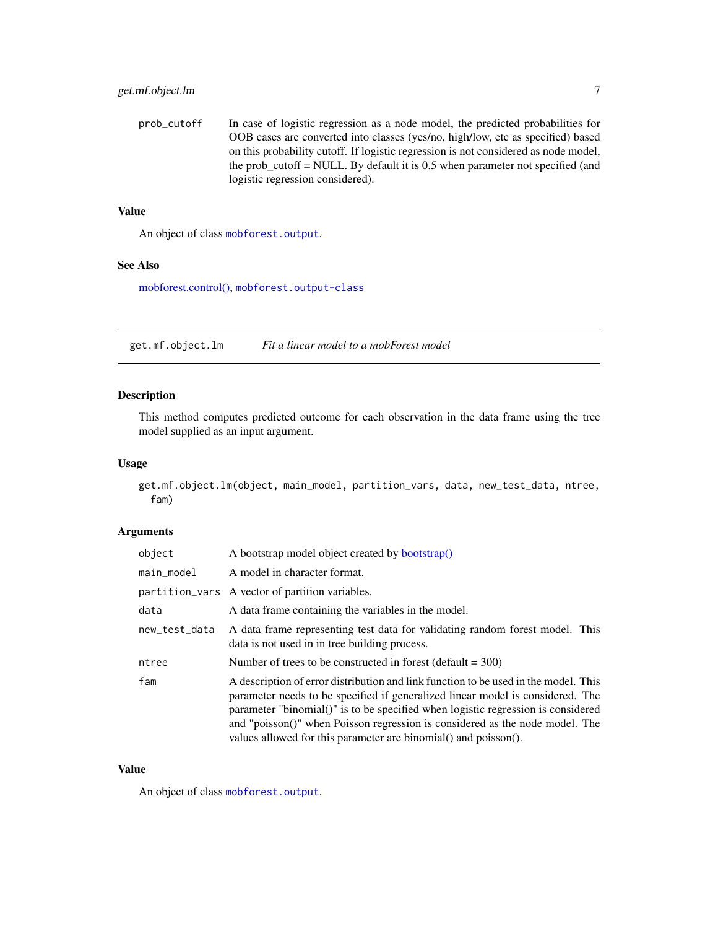<span id="page-6-0"></span>prob\_cutoff In case of logistic regression as a node model, the predicted probabilities for OOB cases are converted into classes (yes/no, high/low, etc as specified) based on this probability cutoff. If logistic regression is not considered as node model, the prob\_cutoff = NULL. By default it is 0.5 when parameter not specified (and logistic regression considered).

#### Value

An object of class [mobforest.output](#page-15-1).

#### See Also

[mobforest.control\(\),](#page-13-1) [mobforest.output-class](#page-15-1)

get.mf.object.lm *Fit a linear model to a mobForest model*

## Description

This method computes predicted outcome for each observation in the data frame using the tree model supplied as an input argument.

## Usage

get.mf.object.lm(object, main\_model, partition\_vars, data, new\_test\_data, ntree, fam)

## Arguments

| object        | A bootstrap model object created by bootstrap()                                                                                                                                                                                                                                                                                                                                                              |
|---------------|--------------------------------------------------------------------------------------------------------------------------------------------------------------------------------------------------------------------------------------------------------------------------------------------------------------------------------------------------------------------------------------------------------------|
| main_model    | A model in character format.                                                                                                                                                                                                                                                                                                                                                                                 |
|               | partition_vars A vector of partition variables.                                                                                                                                                                                                                                                                                                                                                              |
| data          | A data frame containing the variables in the model.                                                                                                                                                                                                                                                                                                                                                          |
| new_test_data | A data frame representing test data for validating random forest model. This<br>data is not used in in tree building process.                                                                                                                                                                                                                                                                                |
| ntree         | Number of trees to be constructed in forest (default $=$ 300)                                                                                                                                                                                                                                                                                                                                                |
| fam           | A description of error distribution and link function to be used in the model. This<br>parameter needs to be specified if generalized linear model is considered. The<br>parameter "binomial()" is to be specified when logistic regression is considered<br>and "poisson()" when Poisson regression is considered as the node model. The<br>values allowed for this parameter are binomial() and poisson(). |

#### Value

An object of class [mobforest.output](#page-15-1).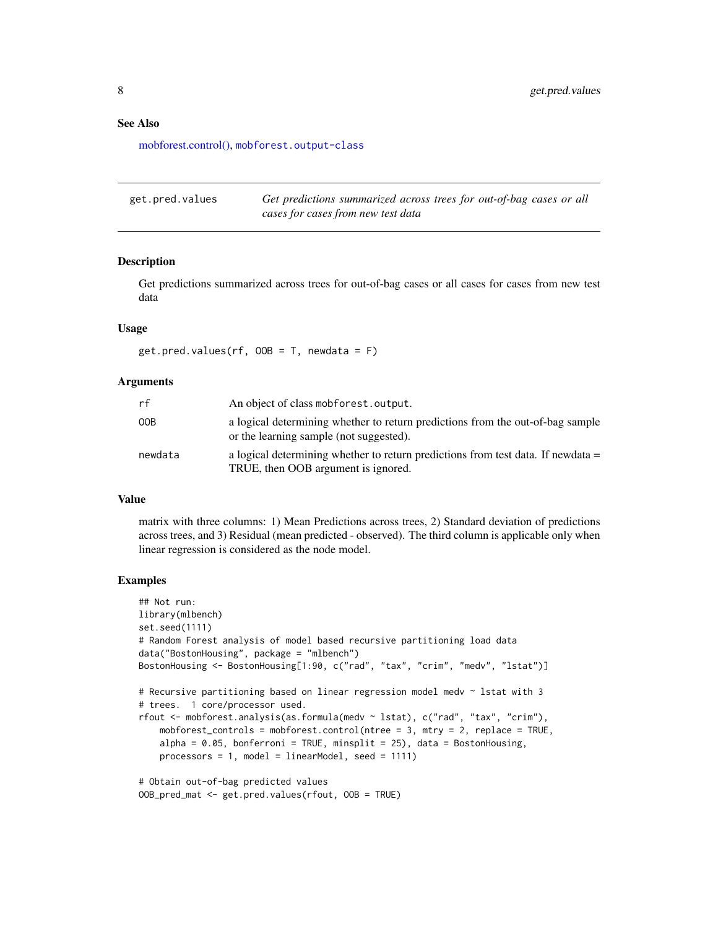#### <span id="page-7-0"></span>See Also

[mobforest.control\(\),](#page-13-1) [mobforest.output-class](#page-15-1)

| get.pred.values | Get predictions summarized across trees for out-of-bag cases or all |
|-----------------|---------------------------------------------------------------------|
|                 | cases for cases from new test data                                  |

#### Description

Get predictions summarized across trees for out-of-bag cases or all cases for cases from new test data

## Usage

 $get.pred.values(rf, OOB = T, newdata = F)$ 

## Arguments

| rf      | An object of class mobforest.output.                                                                                      |
|---------|---------------------------------------------------------------------------------------------------------------------------|
| 00B     | a logical determining whether to return predictions from the out-of-bag sample<br>or the learning sample (not suggested). |
| newdata | a logical determining whether to return predictions from test data. If newdata $=$<br>TRUE, then OOB argument is ignored. |

## Value

matrix with three columns: 1) Mean Predictions across trees, 2) Standard deviation of predictions across trees, and 3) Residual (mean predicted - observed). The third column is applicable only when linear regression is considered as the node model.

## Examples

```
## Not run:
library(mlbench)
set.seed(1111)
# Random Forest analysis of model based recursive partitioning load data
data("BostonHousing", package = "mlbench")
BostonHousing <- BostonHousing[1:90, c("rad", "tax", "crim", "medv", "lstat")]
# Recursive partitioning based on linear regression model medv ~ lstat with 3
# trees. 1 core/processor used.
rfout <- mobforest.analysis(as.formula(medv ~ lstat), c("rad", "tax", "crim"),
    mobforest_controls = mobforest.control(ntree = 3, mtry = 2, replace = TRUE,
    alpha = 0.05, bonferroni = TRUE, minsplit = 25), data = BostonHousing,
    processors = 1, model = linearModel, seed = 1111)
# Obtain out-of-bag predicted values
OOB_pred_mat <- get.pred.values(rfout, OOB = TRUE)
```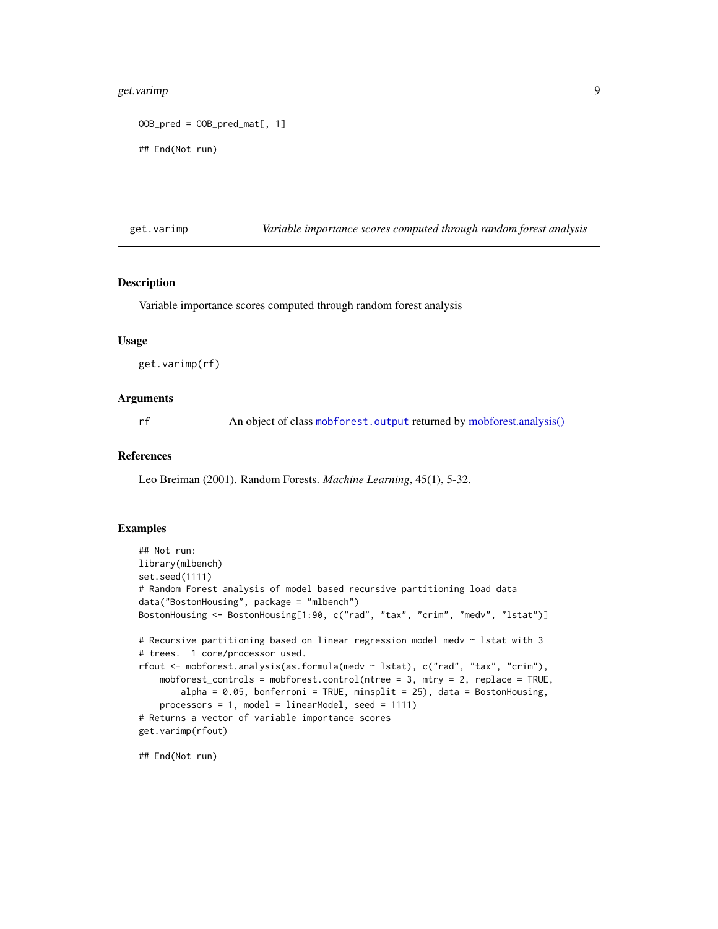## <span id="page-8-0"></span>get.varimp 9

```
00B_pred = 00B_pred_mat[, 1]## End(Not run)
```
<span id="page-8-1"></span>get.varimp *Variable importance scores computed through random forest analysis*

## Description

Variable importance scores computed through random forest analysis

## Usage

get.varimp(rf)

## Arguments

rf An object of class [mobforest.output](#page-15-1) returned by [mobforest.analysis\(\)](#page-10-1)

#### References

Leo Breiman (2001). Random Forests. *Machine Learning*, 45(1), 5-32.

## Examples

```
## Not run:
library(mlbench)
set.seed(1111)
# Random Forest analysis of model based recursive partitioning load data
data("BostonHousing", package = "mlbench")
BostonHousing <- BostonHousing[1:90, c("rad", "tax", "crim", "medv", "lstat")]
# Recursive partitioning based on linear regression model medv ~ lstat with 3
# trees. 1 core/processor used.
rfout <- mobforest.analysis(as.formula(medv ~ lstat), c("rad", "tax", "crim"),
    mobforest_controls = mobforest.control(ntree = 3, mtry = 2, replace = TRUE,
        alpha = 0.05, bonferroni = TRUE, minsplit = 25), data = BostonHousing,
    processors = 1, model = linearModel, seed = 1111)
# Returns a vector of variable importance scores
get.varimp(rfout)
```
## End(Not run)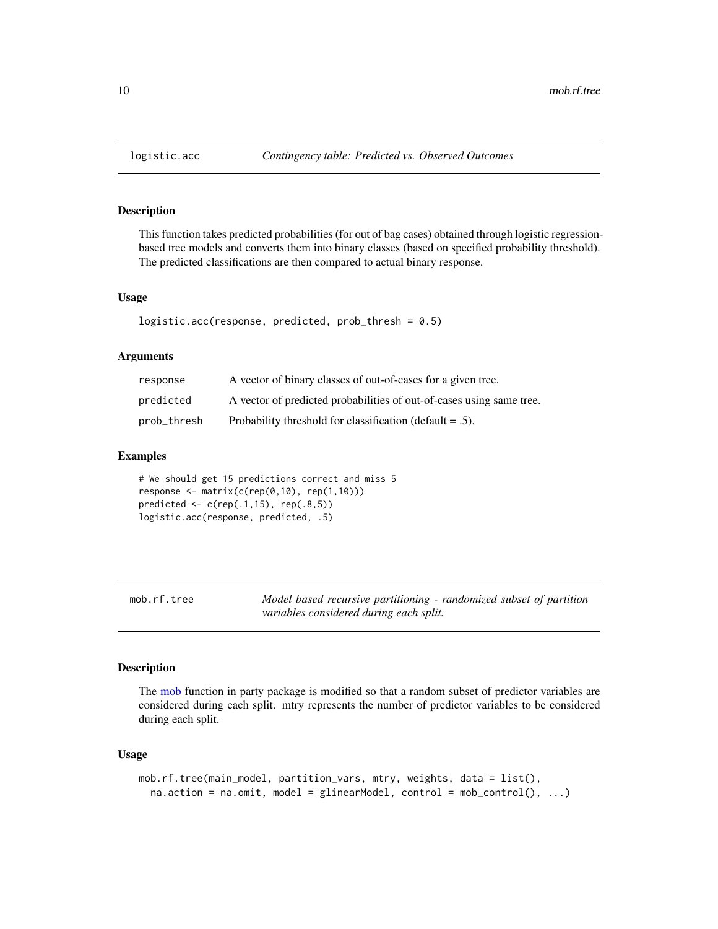#### Description

This function takes predicted probabilities (for out of bag cases) obtained through logistic regressionbased tree models and converts them into binary classes (based on specified probability threshold). The predicted classifications are then compared to actual binary response.

#### Usage

```
logistic.acc(response, predicted, prob_thresh = 0.5)
```
## Arguments

| response    | A vector of binary classes of out-of-cases for a given tree.         |
|-------------|----------------------------------------------------------------------|
| predicted   | A vector of predicted probabilities of out-of-cases using same tree. |
| prob_thresh | Probability threshold for classification (default $= .5$ ).          |

#### Examples

```
# We should get 15 predictions correct and miss 5
response \leq matrix(c(rep(0,10), rep(1,10)))
predicted \leq c (rep(.1,15), rep(.8,5))
logistic.acc(response, predicted, .5)
```
mob.rf.tree *Model based recursive partitioning - randomized subset of partition variables considered during each split.*

#### Description

The [mob](#page-0-0) function in party package is modified so that a random subset of predictor variables are considered during each split. mtry represents the number of predictor variables to be considered during each split.

#### Usage

```
mob.rf.tree(main_model, partition_vars, mtry, weights, data = list(),
  na.action = na.omit, model = glinearModel, control = mob_control(), ...)
```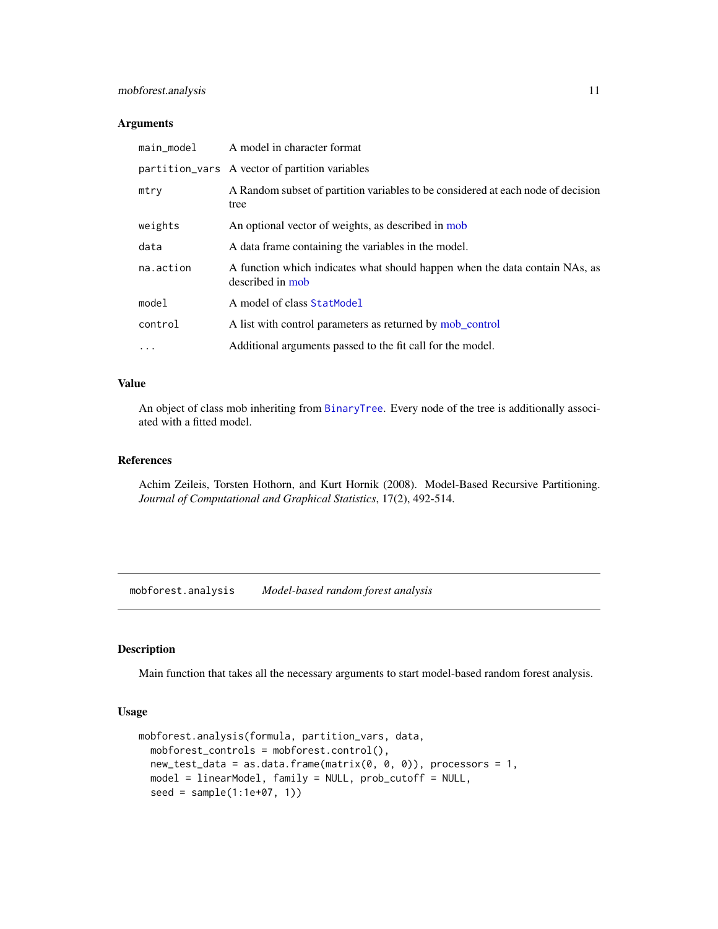## <span id="page-10-0"></span>mobforest.analysis 11

#### Arguments

| main_model | A model in character format                                                                     |
|------------|-------------------------------------------------------------------------------------------------|
|            | partition_vars A vector of partition variables                                                  |
| mtry       | A Random subset of partition variables to be considered at each node of decision<br>tree        |
| weights    | An optional vector of weights, as described in mob                                              |
| data       | A data frame containing the variables in the model.                                             |
| na.action  | A function which indicates what should happen when the data contain NAs, as<br>described in mob |
| model      | A model of class StatModel                                                                      |
| control    | A list with control parameters as returned by mob_control                                       |
| $\cdots$   | Additional arguments passed to the fit call for the model.                                      |

## Value

An object of class mob inheriting from [BinaryTree](#page-0-0). Every node of the tree is additionally associated with a fitted model.

## References

Achim Zeileis, Torsten Hothorn, and Kurt Hornik (2008). Model-Based Recursive Partitioning. *Journal of Computational and Graphical Statistics*, 17(2), 492-514.

<span id="page-10-1"></span>mobforest.analysis *Model-based random forest analysis*

## Description

Main function that takes all the necessary arguments to start model-based random forest analysis.

#### Usage

```
mobforest.analysis(formula, partition_vars, data,
 mobforest_controls = mobforest.control(),
 new_test_data = as.data-frame(maxrix(0, 0, 0)), processors = 1,
 model = linearModel, family = NULL, prob_cutoff = NULL,
  seed = sample(1:1e+07, 1))
```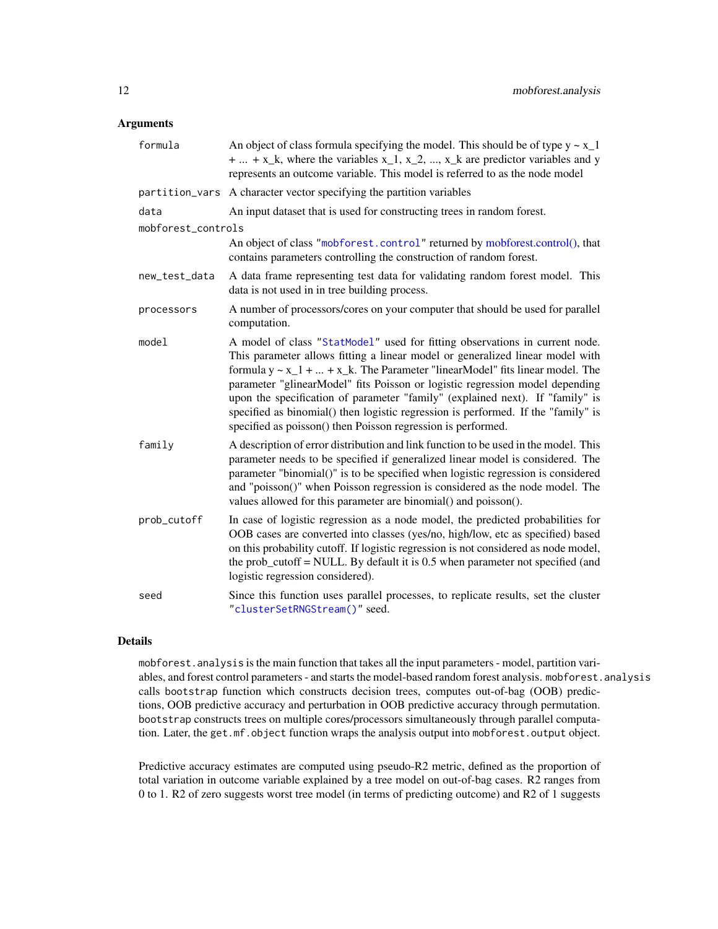#### <span id="page-11-0"></span>Arguments

| formula            | An object of class formula specifying the model. This should be of type $y \sim x_1$<br>$+  + x_k$ , where the variables x <sub>1</sub> , x <sub>2</sub> , , x <sub>k</sub> are predictor variables and y<br>represents an outcome variable. This model is referred to as the node model                                                                                                                                                                                                                                                                                 |  |
|--------------------|--------------------------------------------------------------------------------------------------------------------------------------------------------------------------------------------------------------------------------------------------------------------------------------------------------------------------------------------------------------------------------------------------------------------------------------------------------------------------------------------------------------------------------------------------------------------------|--|
|                    | partition_vars A character vector specifying the partition variables                                                                                                                                                                                                                                                                                                                                                                                                                                                                                                     |  |
| data               | An input dataset that is used for constructing trees in random forest.                                                                                                                                                                                                                                                                                                                                                                                                                                                                                                   |  |
| mobforest_controls |                                                                                                                                                                                                                                                                                                                                                                                                                                                                                                                                                                          |  |
|                    | An object of class "mobforest.control" returned by mobforest.control(), that<br>contains parameters controlling the construction of random forest.                                                                                                                                                                                                                                                                                                                                                                                                                       |  |
| new_test_data      | A data frame representing test data for validating random forest model. This<br>data is not used in in tree building process.                                                                                                                                                                                                                                                                                                                                                                                                                                            |  |
| processors         | A number of processors/cores on your computer that should be used for parallel<br>computation.                                                                                                                                                                                                                                                                                                                                                                                                                                                                           |  |
| model              | A model of class "StatModel" used for fitting observations in current node.<br>This parameter allows fitting a linear model or generalized linear model with<br>formula $y \sim x_1 +  + x_k$ . The Parameter "linearModel" fits linear model. The<br>parameter "glinearModel" fits Poisson or logistic regression model depending<br>upon the specification of parameter "family" (explained next). If "family" is<br>specified as binomial() then logistic regression is performed. If the "family" is<br>specified as poisson() then Poisson regression is performed. |  |
| family             | A description of error distribution and link function to be used in the model. This<br>parameter needs to be specified if generalized linear model is considered. The<br>parameter "binomial()" is to be specified when logistic regression is considered<br>and "poisson()" when Poisson regression is considered as the node model. The<br>values allowed for this parameter are binomial() and poisson().                                                                                                                                                             |  |
| prob_cutoff        | In case of logistic regression as a node model, the predicted probabilities for<br>OOB cases are converted into classes (yes/no, high/low, etc as specified) based<br>on this probability cutoff. If logistic regression is not considered as node model,<br>the prob_cutoff = NULL. By default it is 0.5 when parameter not specified (and<br>logistic regression considered).                                                                                                                                                                                          |  |
| seed               | Since this function uses parallel processes, to replicate results, set the cluster<br>"clusterSetRNGStream()" seed.                                                                                                                                                                                                                                                                                                                                                                                                                                                      |  |

## Details

mobforest.analysis is the main function that takes all the input parameters - model, partition variables, and forest control parameters - and starts the model-based random forest analysis. mobforest.analysis calls bootstrap function which constructs decision trees, computes out-of-bag (OOB) predictions, OOB predictive accuracy and perturbation in OOB predictive accuracy through permutation. bootstrap constructs trees on multiple cores/processors simultaneously through parallel computation. Later, the get.mf.object function wraps the analysis output into mobforest.output object.

Predictive accuracy estimates are computed using pseudo-R2 metric, defined as the proportion of total variation in outcome variable explained by a tree model on out-of-bag cases. R2 ranges from 0 to 1. R2 of zero suggests worst tree model (in terms of predicting outcome) and R2 of 1 suggests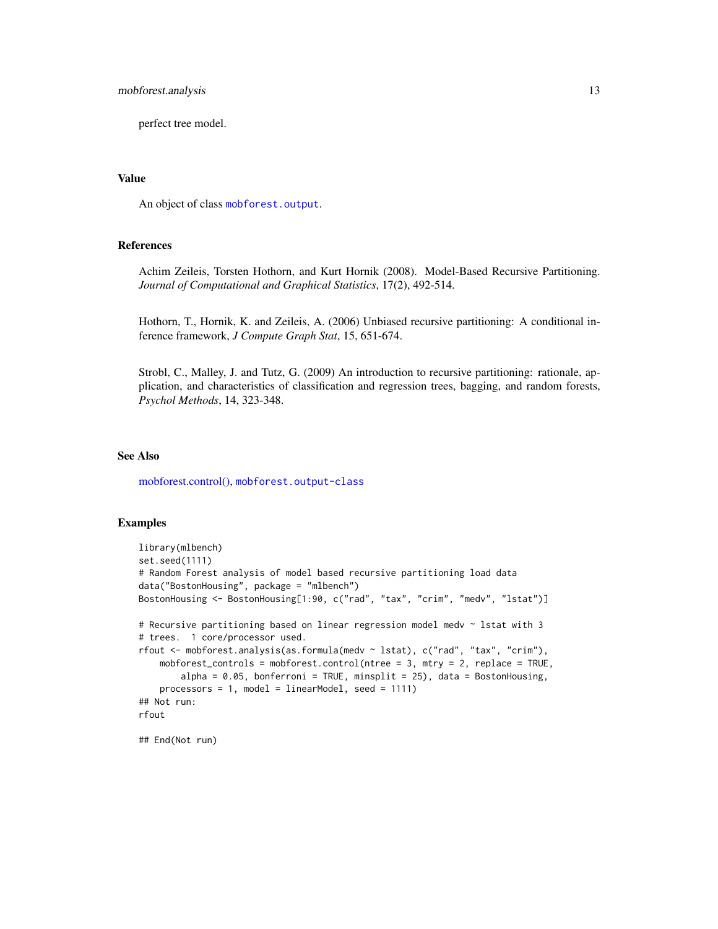## <span id="page-12-0"></span>mobforest.analysis 13

perfect tree model.

#### Value

An object of class [mobforest.output](#page-15-1).

## References

Achim Zeileis, Torsten Hothorn, and Kurt Hornik (2008). Model-Based Recursive Partitioning. *Journal of Computational and Graphical Statistics*, 17(2), 492-514.

Hothorn, T., Hornik, K. and Zeileis, A. (2006) Unbiased recursive partitioning: A conditional inference framework, *J Compute Graph Stat*, 15, 651-674.

Strobl, C., Malley, J. and Tutz, G. (2009) An introduction to recursive partitioning: rationale, application, and characteristics of classification and regression trees, bagging, and random forests, *Psychol Methods*, 14, 323-348.

## See Also

[mobforest.control\(\),](#page-13-1) [mobforest.output-class](#page-15-1)

#### Examples

```
library(mlbench)
set.seed(1111)
# Random Forest analysis of model based recursive partitioning load data
data("BostonHousing", package = "mlbench")
BostonHousing <- BostonHousing[1:90, c("rad", "tax", "crim", "medv", "lstat")]
# Recursive partitioning based on linear regression model medv ~ lstat with 3
# trees. 1 core/processor used.
rfout <- mobforest.analysis(as.formula(medv ~ lstat), c("rad", "tax", "crim"),
    mobforest_controls = mobforest.control(ntree = 3, mtry = 2, replace = TRUE,
       alpha = 0.05, bonferroni = TRUE, minsplit = 25), data = BostonHousing,
    processors = 1, model = linearModel, seed = 1111)
## Not run:
rfout
```
## End(Not run)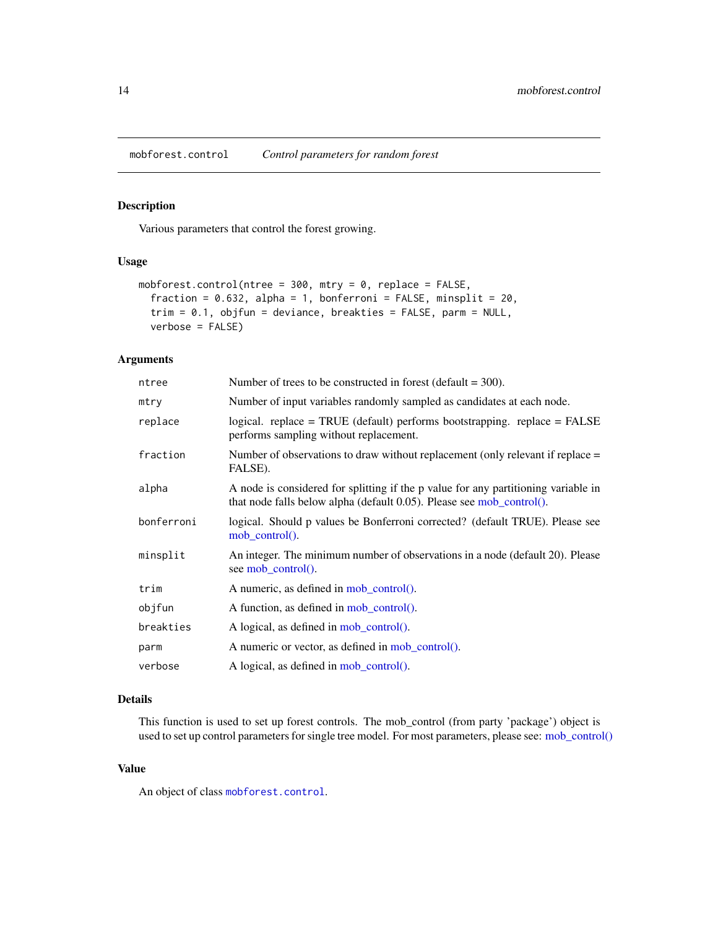<span id="page-13-1"></span><span id="page-13-0"></span>mobforest.control *Control parameters for random forest*

# Description

Various parameters that control the forest growing.

## Usage

```
mobforest.control(ntree = 300, mtry = 0, replace = FALSE,
  fraction = 0.632, alpha = 1, bonferroni = FALSE, minsplit = 20,
  trim = 0.1, objfun = deviance, breakties = FALSE, parm = NULL,
  verbose = FALSE)
```
## Arguments

| ntree      | Number of trees to be constructed in forest (default $=$ 300).                                                                                              |
|------------|-------------------------------------------------------------------------------------------------------------------------------------------------------------|
| mtry       | Number of input variables randomly sampled as candidates at each node.                                                                                      |
| replace    | $logical.$ replace = TRUE (default) performs bootstrapping. replace = FALSE<br>performs sampling without replacement.                                       |
| fraction   | Number of observations to draw without replacement (only relevant if replace =<br>FALSE).                                                                   |
| alpha      | A node is considered for splitting if the p value for any partitioning variable in<br>that node falls below alpha (default 0.05). Please see mob_control(). |
| bonferroni | logical. Should p values be Bonferroni corrected? (default TRUE). Please see<br>mob control $()$ .                                                          |
| minsplit   | An integer. The minimum number of observations in a node (default 20). Please<br>see mob_control().                                                         |
| trim       | A numeric, as defined in mob_control().                                                                                                                     |
| objfun     | A function, as defined in mob_control().                                                                                                                    |
| breakties  | A logical, as defined in mob_control().                                                                                                                     |
| parm       | A numeric or vector, as defined in mob_control().                                                                                                           |
| verbose    | A logical, as defined in mob_control().                                                                                                                     |

## Details

This function is used to set up forest controls. The mob\_control (from party 'package') object is used to set up control parameters for single tree model. For most parameters, please see: [mob\\_control\(\)](#page-0-0)

## Value

An object of class [mobforest.control](#page-14-1).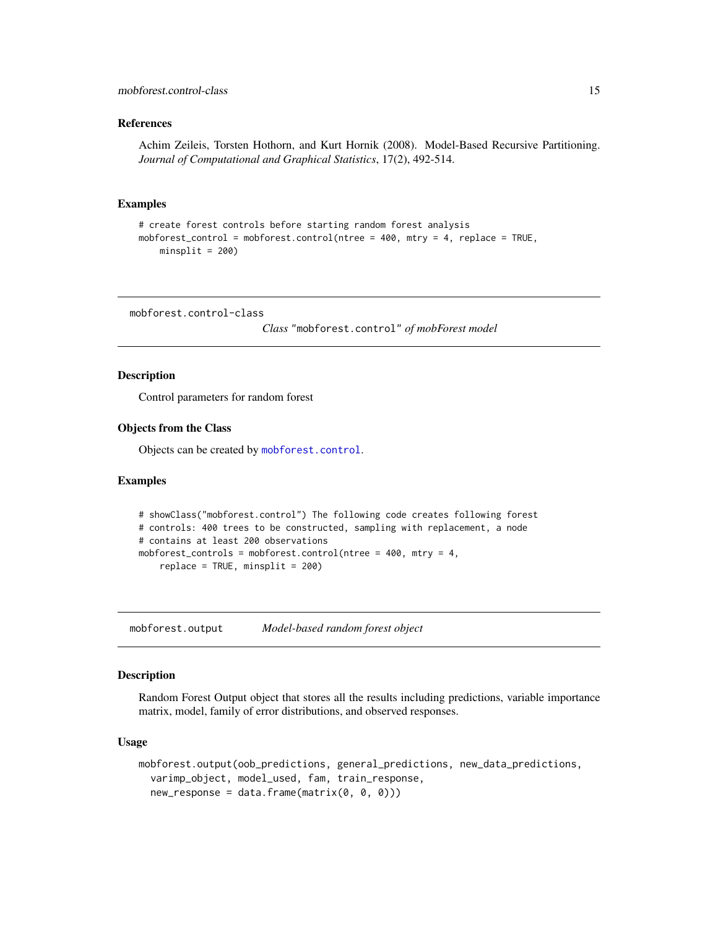#### <span id="page-14-0"></span>References

Achim Zeileis, Torsten Hothorn, and Kurt Hornik (2008). Model-Based Recursive Partitioning. *Journal of Computational and Graphical Statistics*, 17(2), 492-514.

#### Examples

```
# create forest controls before starting random forest analysis
mobforest_control = mobforest.control(ntree = 400, mtry = 4, replace = TRUE,
   minsplit = 200
```
<span id="page-14-1"></span>mobforest.control-class

*Class* "mobforest.control" *of mobForest model*

## Description

Control parameters for random forest

## Objects from the Class

Objects can be created by [mobforest.control](#page-13-1).

#### Examples

```
# showClass("mobforest.control") The following code creates following forest
# controls: 400 trees to be constructed, sampling with replacement, a node
# contains at least 200 observations
mobforest_controls = mobforest.control(ntree = 400, mtry = 4,
    replace = TRUE, misplit = 200
```
<span id="page-14-2"></span>mobforest.output *Model-based random forest object*

#### Description

Random Forest Output object that stores all the results including predictions, variable importance matrix, model, family of error distributions, and observed responses.

#### Usage

```
mobforest.output(oob_predictions, general_predictions, new_data_predictions,
  varimp_object, model_used, fam, train_response,
  new\_response = data.frame(maxrix(0, 0, 0)))
```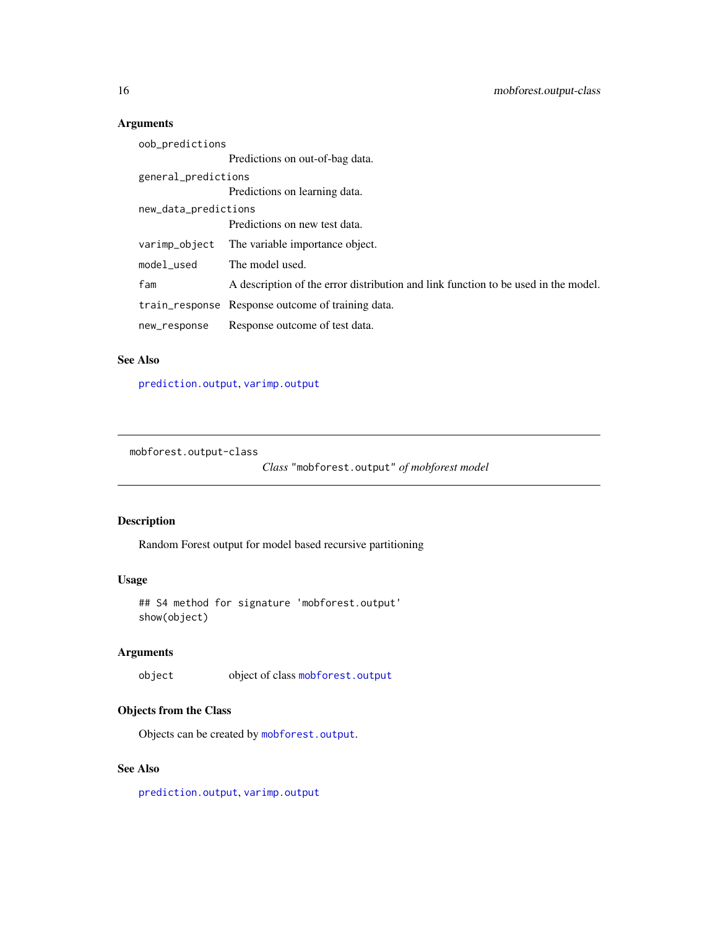# Arguments

| oob_predictions      |                                                                                    |
|----------------------|------------------------------------------------------------------------------------|
|                      | Predictions on out-of-bag data.                                                    |
| general_predictions  |                                                                                    |
|                      | Predictions on learning data.                                                      |
| new_data_predictions |                                                                                    |
|                      | Predictions on new test data.                                                      |
| varimp_object        | The variable importance object.                                                    |
| model used           | The model used.                                                                    |
| fam                  | A description of the error distribution and link function to be used in the model. |
|                      | train_response Response outcome of training data.                                  |
| new_response         | Response outcome of test data.                                                     |
|                      |                                                                                    |

## See Also

[prediction.output](#page-20-1), [varimp.output](#page-25-1)

<span id="page-15-1"></span>mobforest.output-class

*Class* "mobforest.output" *of mobforest model*

## Description

Random Forest output for model based recursive partitioning

## Usage

```
## S4 method for signature 'mobforest.output'
show(object)
```
# Arguments

object object of class [mobforest.output](#page-15-1)

## Objects from the Class

Objects can be created by [mobforest.output](#page-14-2).

## See Also

[prediction.output](#page-20-1), [varimp.output](#page-25-1)

<span id="page-15-0"></span>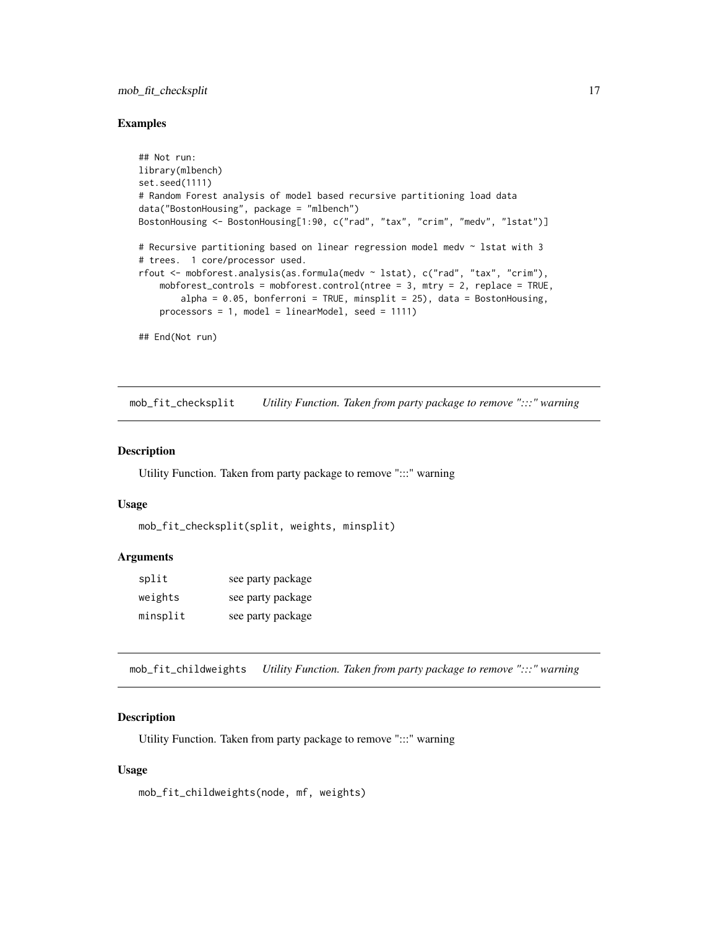## <span id="page-16-0"></span>mob\_fit\_checksplit 17

#### Examples

```
## Not run:
library(mlbench)
set.seed(1111)
# Random Forest analysis of model based recursive partitioning load data
data("BostonHousing", package = "mlbench")
BostonHousing <- BostonHousing[1:90, c("rad", "tax", "crim", "medv", "lstat")]
# Recursive partitioning based on linear regression model medv ~ lstat with 3
# trees. 1 core/processor used.
rfout <- mobforest.analysis(as.formula(medv ~ lstat), c("rad", "tax", "crim"),
    mobforest_controls = mobforest.control(ntree = 3, mtry = 2, replace = TRUE,
       alpha = 0.05, bonferroni = TRUE, minsplit = 25), data = BostonHousing,
    processors = 1, model = linearModel, seed = 1111)
## End(Not run)
```
mob\_fit\_checksplit *Utility Function. Taken from party package to remove ":::" warning*

## Description

Utility Function. Taken from party package to remove ":::" warning

#### Usage

```
mob_fit_checksplit(split, weights, minsplit)
```
#### Arguments

| split    | see party package |
|----------|-------------------|
| weights  | see party package |
| minsplit | see party package |

mob\_fit\_childweights *Utility Function. Taken from party package to remove ":::" warning*

## **Description**

Utility Function. Taken from party package to remove ":::" warning

#### Usage

mob\_fit\_childweights(node, mf, weights)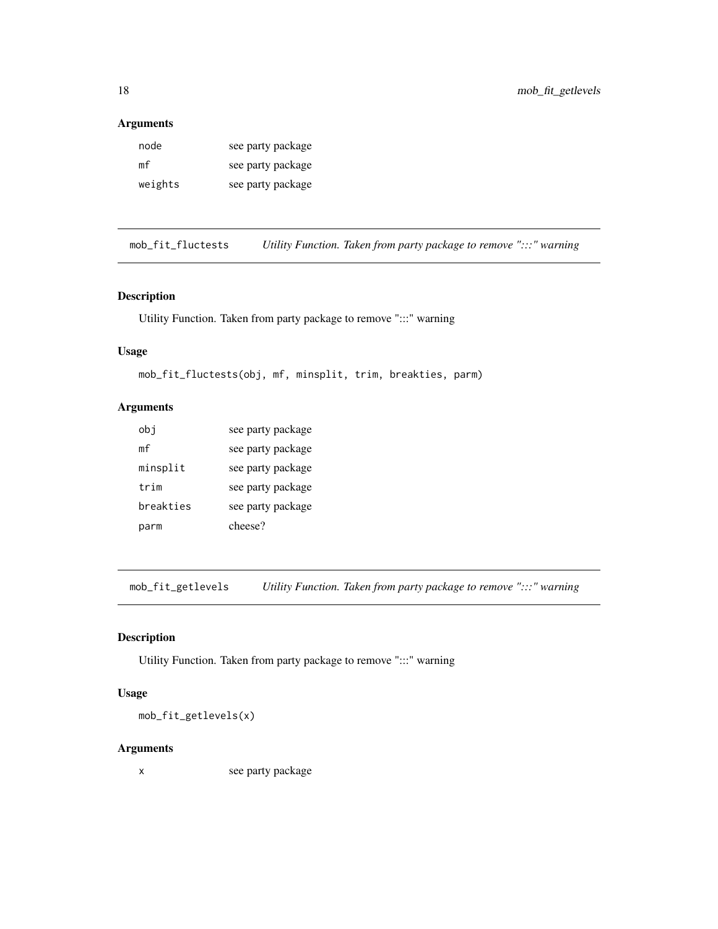## <span id="page-17-0"></span>Arguments

| node    | see party package |
|---------|-------------------|
| mf      | see party package |
| weights | see party package |

mob\_fit\_fluctests *Utility Function. Taken from party package to remove ":::" warning*

# Description

Utility Function. Taken from party package to remove ":::" warning

## Usage

```
mob_fit_fluctests(obj, mf, minsplit, trim, breakties, parm)
```
# Arguments

| obj       | see party package |
|-----------|-------------------|
| mf        | see party package |
| minsplit  | see party package |
| trim      | see party package |
| breakties | see party package |
| parm      | cheese?           |

mob\_fit\_getlevels *Utility Function. Taken from party package to remove ":::" warning*

## Description

Utility Function. Taken from party package to remove ":::" warning

## Usage

mob\_fit\_getlevels(x)

## Arguments

x see party package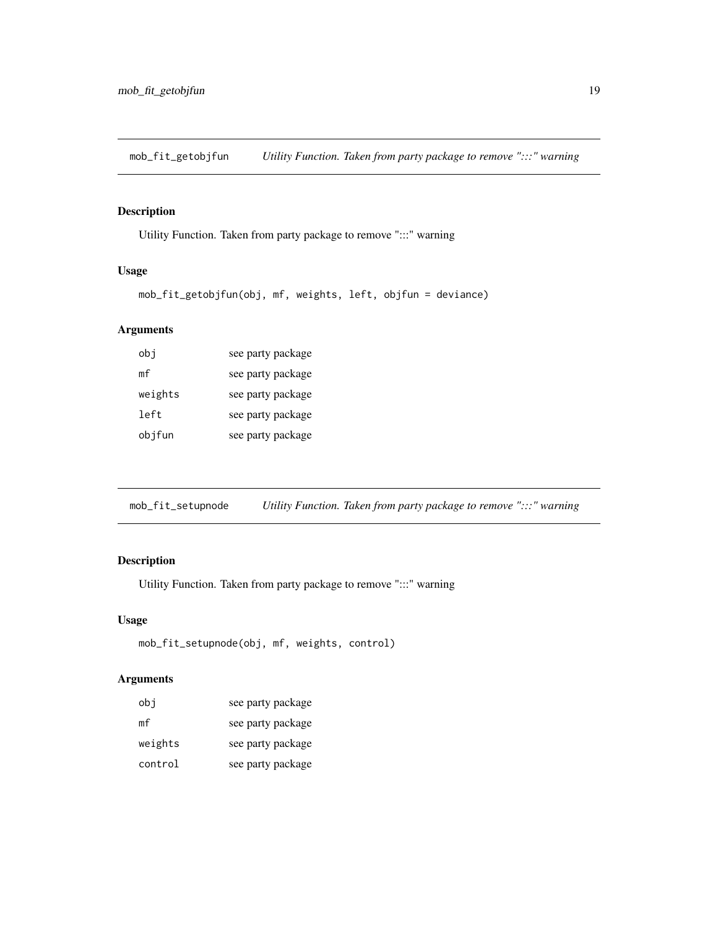<span id="page-18-0"></span>mob\_fit\_getobjfun *Utility Function. Taken from party package to remove ":::" warning*

## Description

Utility Function. Taken from party package to remove ":::" warning

# Usage

```
mob_fit_getobjfun(obj, mf, weights, left, objfun = deviance)
```
## Arguments

| obj     | see party package |
|---------|-------------------|
| mf      | see party package |
| weights | see party package |
| left    | see party package |
| objfun  | see party package |

mob\_fit\_setupnode *Utility Function. Taken from party package to remove ":::" warning*

# Description

Utility Function. Taken from party package to remove ":::" warning

## Usage

```
mob_fit_setupnode(obj, mf, weights, control)
```

| obj     | see party package |
|---------|-------------------|
| mf      | see party package |
| weights | see party package |
| control | see party package |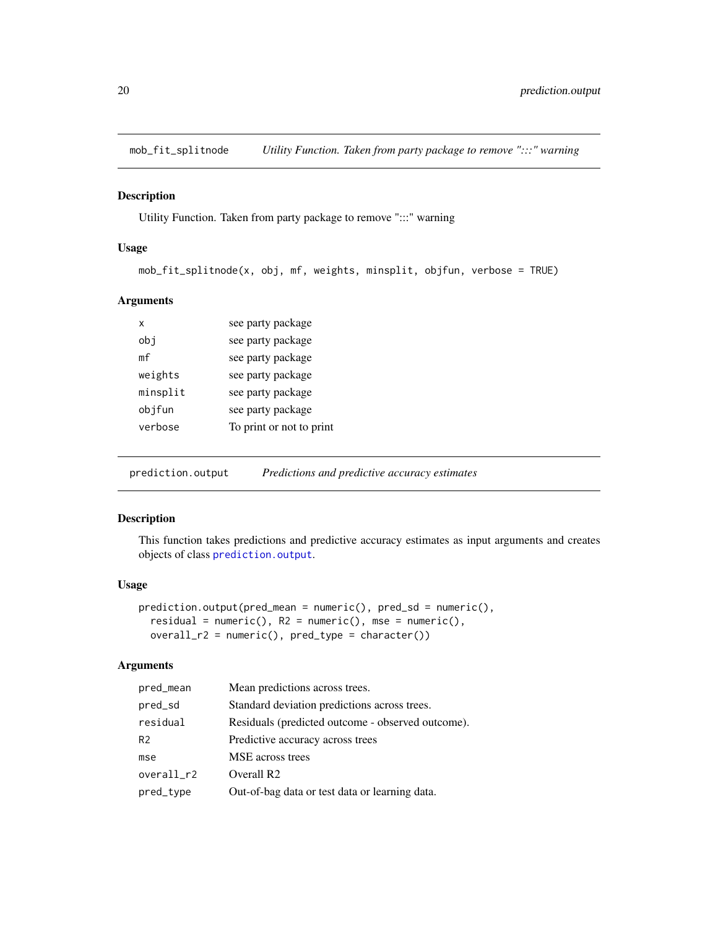<span id="page-19-0"></span>mob\_fit\_splitnode *Utility Function. Taken from party package to remove ":::" warning*

## Description

Utility Function. Taken from party package to remove ":::" warning

## Usage

```
mob_fit_splitnode(x, obj, mf, weights, minsplit, objfun, verbose = TRUE)
```
#### Arguments

| x        | see party package        |
|----------|--------------------------|
| obj      | see party package        |
| mf       | see party package        |
| weights  | see party package        |
| minsplit | see party package        |
| objfun   | see party package        |
| verbose  | To print or not to print |
|          |                          |

<span id="page-19-1"></span>prediction.output *Predictions and predictive accuracy estimates*

## Description

This function takes predictions and predictive accuracy estimates as input arguments and creates objects of class [prediction.output](#page-20-1).

#### Usage

```
prediction.output(pred_mean = numeric(), pred_sd = numeric(),residual = numeric(), R2 = numeric(), mse = numeric(),
 overall_r2 = numeric(), pred_type = character()
```

| pred_mean      | Mean predictions across trees.                    |
|----------------|---------------------------------------------------|
| pred_sd        | Standard deviation predictions across trees.      |
| residual       | Residuals (predicted outcome - observed outcome). |
| R <sub>2</sub> | Predictive accuracy across trees                  |
| mse            | MSE across trees                                  |
| overall_r2     | Overall R <sub>2</sub>                            |
| pred_type      | Out-of-bag data or test data or learning data.    |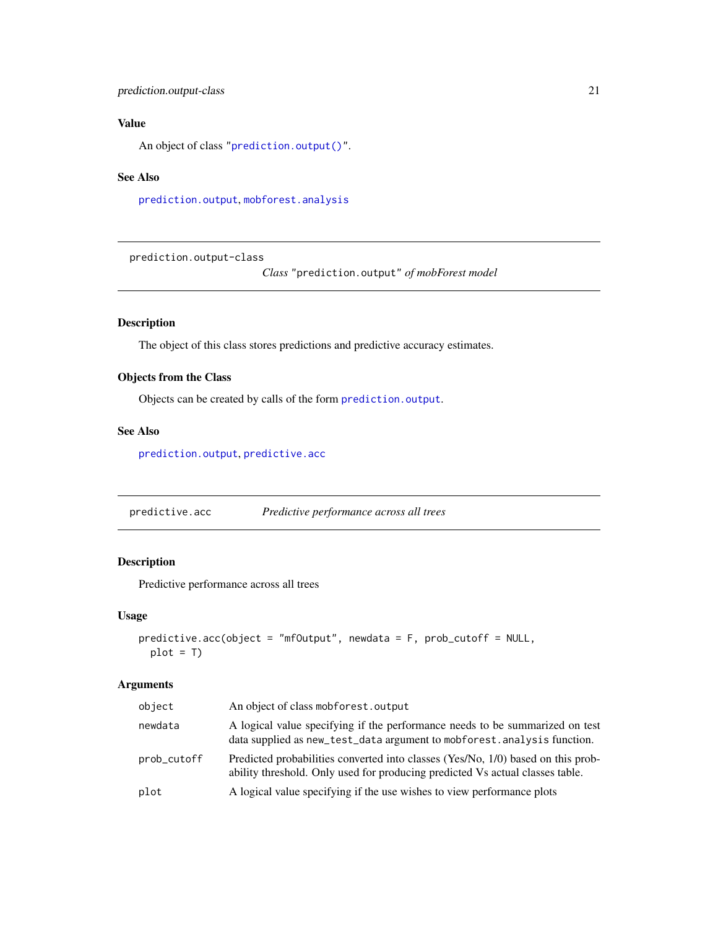## <span id="page-20-0"></span>prediction.output-class 21

## Value

An object of class ["prediction.output\(\)"](#page-19-1).

## See Also

[prediction.output](#page-20-1), [mobforest.analysis](#page-10-1)

<span id="page-20-1"></span>prediction.output-class

*Class* "prediction.output" *of mobForest model*

## Description

The object of this class stores predictions and predictive accuracy estimates.

## Objects from the Class

Objects can be created by calls of the form [prediction.output](#page-19-1).

## See Also

[prediction.output](#page-19-1), [predictive.acc](#page-20-2)

<span id="page-20-2"></span>predictive.acc *Predictive performance across all trees*

## Description

Predictive performance across all trees

#### Usage

```
predictive.acc(object = "mfOutput", newdata = F, prob_cutoff = NULL,
 plot = T
```

| object      | An object of class mobforest.output                                                                                                                               |
|-------------|-------------------------------------------------------------------------------------------------------------------------------------------------------------------|
| newdata     | A logical value specifying if the performance needs to be summarized on test<br>data supplied as new_test_data argument to mobforest. analysis function.          |
| prob_cutoff | Predicted probabilities converted into classes (Yes/No, 1/0) based on this prob-<br>ability threshold. Only used for producing predicted Vs actual classes table. |
| plot        | A logical value specifying if the use wishes to view performance plots                                                                                            |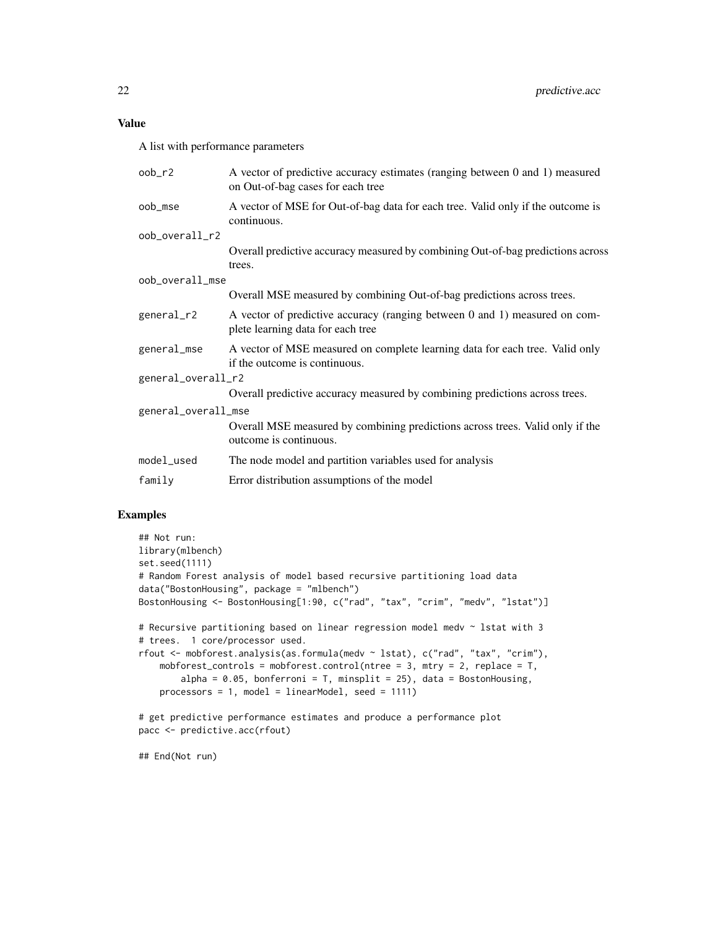A list with performance parameters

| oob_r2              | A vector of predictive accuracy estimates (ranging between 0 and 1) measured<br>on Out-of-bag cases for each tree |  |
|---------------------|-------------------------------------------------------------------------------------------------------------------|--|
| oob_mse             | A vector of MSE for Out-of-bag data for each tree. Valid only if the outcome is<br>continuous.                    |  |
| oob_overall_r2      |                                                                                                                   |  |
|                     | Overall predictive accuracy measured by combining Out-of-bag predictions across<br>trees.                         |  |
| oob_overall_mse     |                                                                                                                   |  |
|                     | Overall MSE measured by combining Out-of-bag predictions across trees.                                            |  |
| general_r2          | A vector of predictive accuracy (ranging between 0 and 1) measured on com-<br>plete learning data for each tree   |  |
| general_mse         | A vector of MSE measured on complete learning data for each tree. Valid only<br>if the outcome is continuous.     |  |
| general_overall_r2  |                                                                                                                   |  |
|                     | Overall predictive accuracy measured by combining predictions across trees.                                       |  |
| general_overall_mse |                                                                                                                   |  |
|                     | Overall MSE measured by combining predictions across trees. Valid only if the<br>outcome is continuous.           |  |
| model_used          | The node model and partition variables used for analysis                                                          |  |
| family              | Error distribution assumptions of the model                                                                       |  |
|                     |                                                                                                                   |  |

## Examples

```
## Not run:
library(mlbench)
set.seed(1111)
# Random Forest analysis of model based recursive partitioning load data
data("BostonHousing", package = "mlbench")
BostonHousing <- BostonHousing[1:90, c("rad", "tax", "crim", "medv", "lstat")]
# Recursive partitioning based on linear regression model medv ~ lstat with 3
# trees. 1 core/processor used.
rfout <- mobforest.analysis(as.formula(medv ~ lstat), c("rad", "tax", "crim"),
    mobforest_controls = mobforest.control(ntree = 3, mtry = 2, replace = T,
       alpha = 0.05, bonferroni = T, minsplit = 25), data = BostonHousing,
   processors = 1, model = linearModel, seed = 1111)
# get predictive performance estimates and produce a performance plot
pacc <- predictive.acc(rfout)
```
## End(Not run)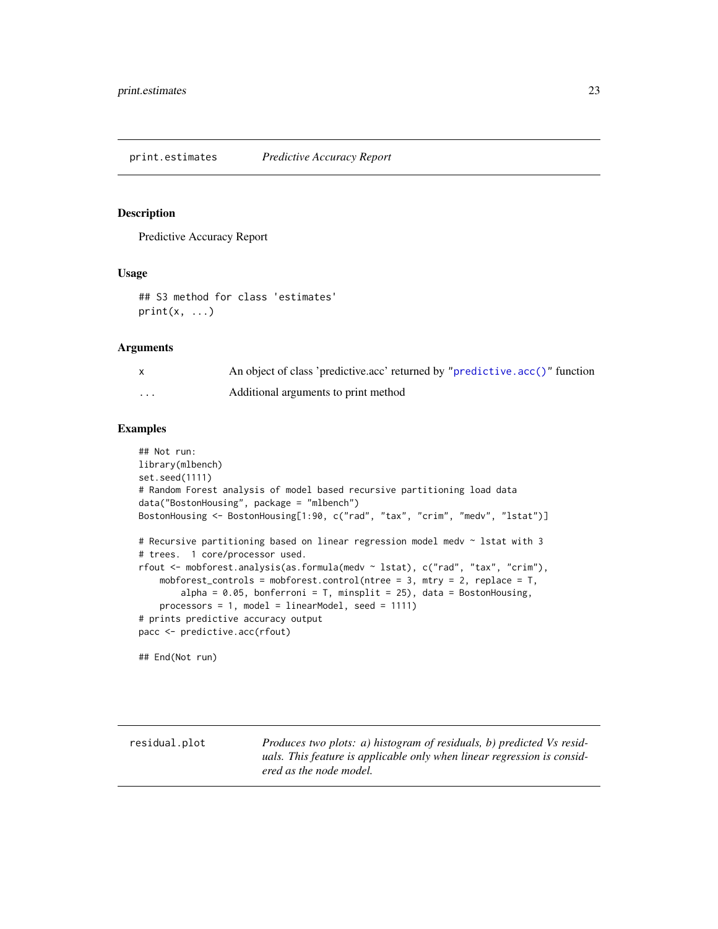<span id="page-22-0"></span>print.estimates *Predictive Accuracy Report*

## Description

Predictive Accuracy Report

#### Usage

```
## S3 method for class 'estimates'
print(x, \ldots)
```
## Arguments

|                         | An object of class 'predictive.acc' returned by "predictive.acc()" function |
|-------------------------|-----------------------------------------------------------------------------|
| $\cdot$ $\cdot$ $\cdot$ | Additional arguments to print method                                        |

## Examples

```
## Not run:
library(mlbench)
set.seed(1111)
# Random Forest analysis of model based recursive partitioning load data
data("BostonHousing", package = "mlbench")
BostonHousing <- BostonHousing[1:90, c("rad", "tax", "crim", "medv", "lstat")]
# Recursive partitioning based on linear regression model medv ~ lstat with 3
# trees. 1 core/processor used.
rfout <- mobforest.analysis(as.formula(medv ~ lstat), c("rad", "tax", "crim"),
    mobforest_controls = mobforest.control(ntree = 3, mtry = 2, replace = T,
       alpha = 0.05, bonferroni = T, minsplit = 25), data = BostonHousing,
   processors = 1, model = linearModel, seed = 1111)
# prints predictive accuracy output
pacc <- predictive.acc(rfout)
```
## End(Not run)

residual.plot *Produces two plots: a) histogram of residuals, b) predicted Vs residuals. This feature is applicable only when linear regression is considered as the node model.*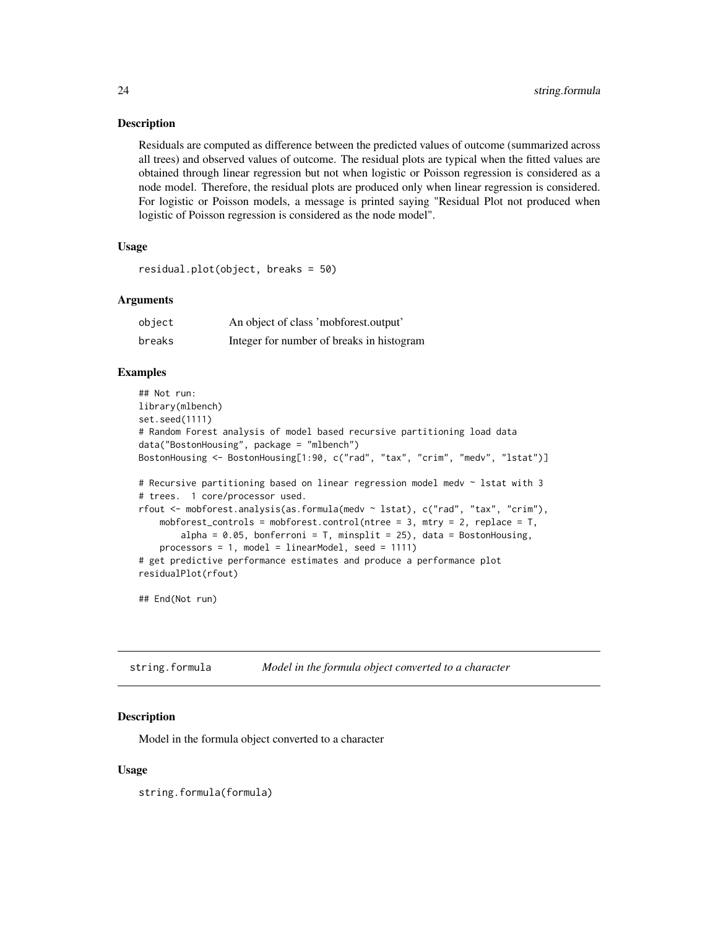#### Description

Residuals are computed as difference between the predicted values of outcome (summarized across all trees) and observed values of outcome. The residual plots are typical when the fitted values are obtained through linear regression but not when logistic or Poisson regression is considered as a node model. Therefore, the residual plots are produced only when linear regression is considered. For logistic or Poisson models, a message is printed saying "Residual Plot not produced when logistic of Poisson regression is considered as the node model".

## Usage

```
residual.plot(object, breaks = 50)
```
## Arguments

| object | An object of class 'mobforest.output'     |
|--------|-------------------------------------------|
| breaks | Integer for number of breaks in histogram |

## Examples

```
## Not run:
library(mlbench)
set.seed(1111)
# Random Forest analysis of model based recursive partitioning load data
data("BostonHousing", package = "mlbench")
BostonHousing <- BostonHousing[1:90, c("rad", "tax", "crim", "medv", "lstat")]
# Recursive partitioning based on linear regression model medv ~ lstat with 3
# trees. 1 core/processor used.
rfout <- mobforest.analysis(as.formula(medv ~ lstat), c("rad", "tax", "crim"),
    mobforest_controls = mobforest.control(ntree = 3, mtry = 2, replace = T,
        alpha = 0.05, bonferroni = T, minsplit = 25), data = BostonHousing,
    processors = 1, model = linearModel, seed = 1111)
# get predictive performance estimates and produce a performance plot
residualPlot(rfout)
```
## End(Not run)

string.formula *Model in the formula object converted to a character*

## **Description**

Model in the formula object converted to a character

#### Usage

string.formula(formula)

<span id="page-23-0"></span>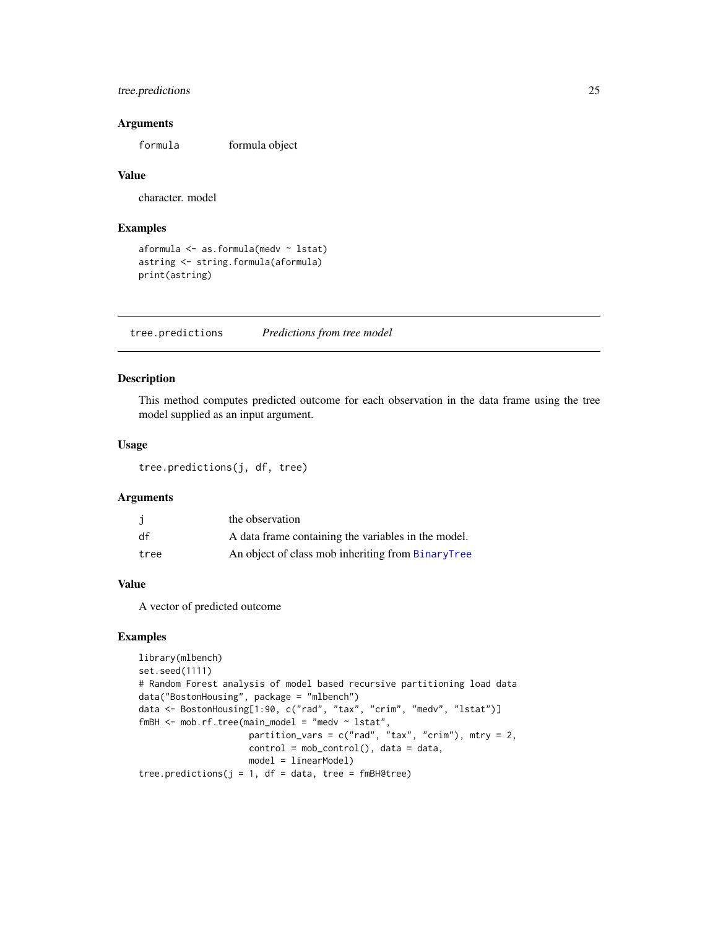## <span id="page-24-0"></span>tree.predictions 25

#### **Arguments**

formula formula object

#### Value

character. model

## Examples

```
aformula <- as.formula(medv ~ lstat)
astring <- string.formula(aformula)
print(astring)
```
tree.predictions *Predictions from tree model*

## Description

This method computes predicted outcome for each observation in the data frame using the tree model supplied as an input argument.

## Usage

tree.predictions(j, df, tree)

#### Arguments

|      | the observation                                     |
|------|-----------------------------------------------------|
| df   | A data frame containing the variables in the model. |
| tree | An object of class mob inheriting from BinaryTree   |

#### Value

A vector of predicted outcome

## Examples

```
library(mlbench)
set.seed(1111)
# Random Forest analysis of model based recursive partitioning load data
data("BostonHousing", package = "mlbench")
data <- BostonHousing[1:90, c("rad", "tax", "crim", "medv", "lstat")]
fmBH <- mob.rf.tree(main_model = "medv ~ lstat",
                     partition\_vars = c("rad", "tax", "crim"), mtry = 2,control = mob_control(), data = data,
                     model = linearModel)
tree.predictions(j = 1, df = data, tree = fmBH@tree)
```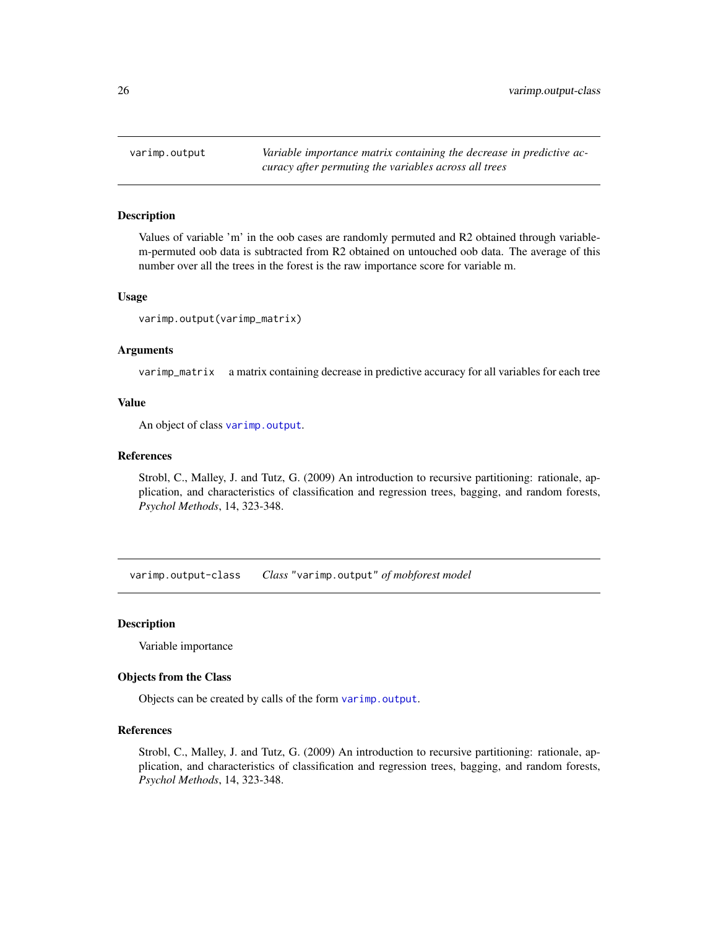<span id="page-25-2"></span><span id="page-25-0"></span>varimp.output *Variable importance matrix containing the decrease in predictive accuracy after permuting the variables across all trees*

#### Description

Values of variable 'm' in the oob cases are randomly permuted and R2 obtained through variablem-permuted oob data is subtracted from R2 obtained on untouched oob data. The average of this number over all the trees in the forest is the raw importance score for variable m.

#### Usage

varimp.output(varimp\_matrix)

#### Arguments

varimp\_matrix a matrix containing decrease in predictive accuracy for all variables for each tree

#### Value

An object of class [varimp.output](#page-25-1).

#### References

Strobl, C., Malley, J. and Tutz, G. (2009) An introduction to recursive partitioning: rationale, application, and characteristics of classification and regression trees, bagging, and random forests, *Psychol Methods*, 14, 323-348.

<span id="page-25-1"></span>varimp.output-class *Class* "varimp.output" *of mobforest model*

#### **Description**

Variable importance

#### Objects from the Class

Objects can be created by calls of the form [varimp.output](#page-25-2).

#### References

Strobl, C., Malley, J. and Tutz, G. (2009) An introduction to recursive partitioning: rationale, application, and characteristics of classification and regression trees, bagging, and random forests, *Psychol Methods*, 14, 323-348.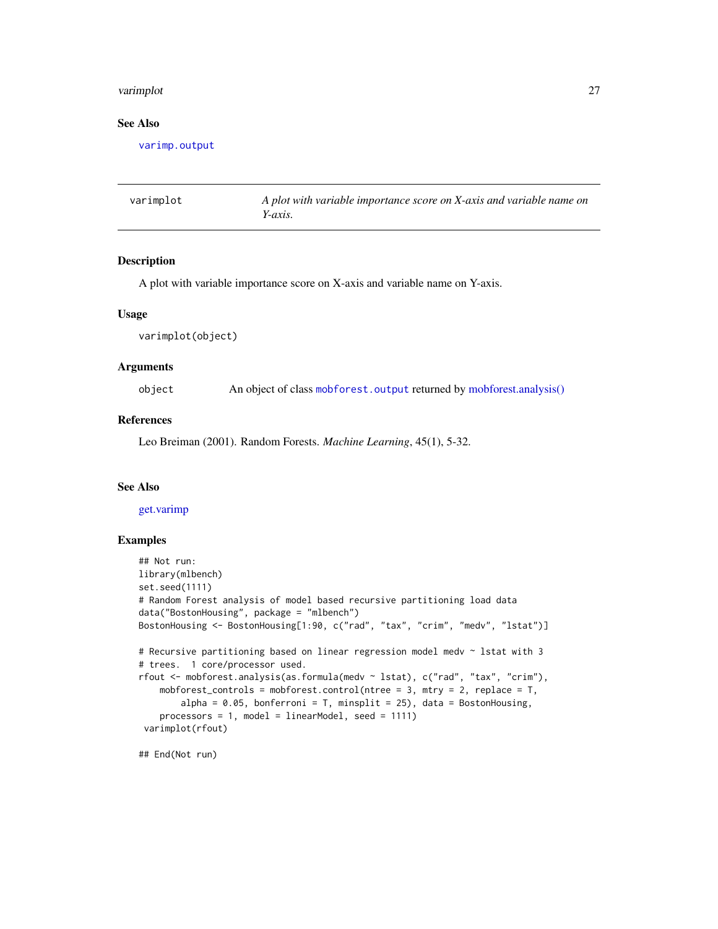#### <span id="page-26-0"></span>varimplot 27

## See Also

[varimp.output](#page-25-1)

varimplot *A plot with variable importance score on X-axis and variable name on Y-axis.*

## Description

A plot with variable importance score on X-axis and variable name on Y-axis.

#### Usage

varimplot(object)

### Arguments

object An object of class [mobforest.output](#page-15-1) returned by [mobforest.analysis\(\)](#page-10-1)

#### References

Leo Breiman (2001). Random Forests. *Machine Learning*, 45(1), 5-32.

#### See Also

[get.varimp](#page-8-1)

## Examples

```
## Not run:
library(mlbench)
set.seed(1111)
# Random Forest analysis of model based recursive partitioning load data
data("BostonHousing", package = "mlbench")
BostonHousing <- BostonHousing[1:90, c("rad", "tax", "crim", "medv", "lstat")]
# Recursive partitioning based on linear regression model medv ~ lstat with 3
# trees. 1 core/processor used.
rfout <- mobforest.analysis(as.formula(medv ~ lstat), c("rad", "tax", "crim"),
    mobforest_controls = mobforest.control(ntree = 3, mtry = 2, replace = T,
       alpha = 0.05, bonferroni = T, minsplit = 25), data = BostonHousing,
   processors = 1, model = linearModel, seed = 1111)
 varimplot(rfout)
```
## End(Not run)